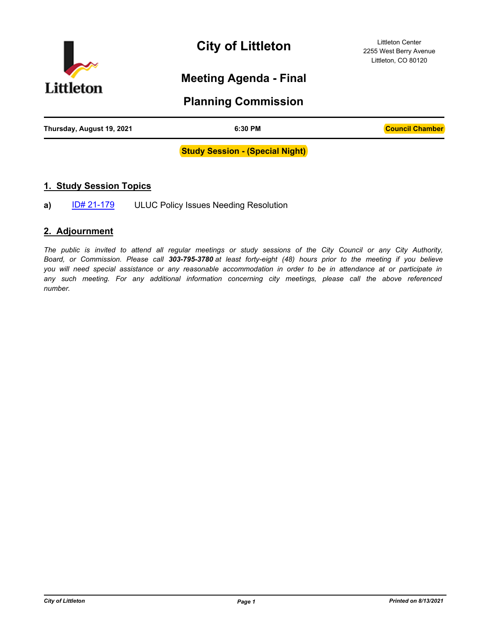

**City of Littleton**

Littleton Center 2255 West Berry Avenue Littleton, CO 80120

# **Meeting Agenda - Final**

# **Planning Commission**

| Thursday, August 19, 2021 | 6:30 PM | <b>Council Chamber</b> |
|---------------------------|---------|------------------------|
|                           |         |                        |

#### **Study Session - (Special Night)**

### **1. Study Session Topics**

**a)** [ID# 21-179](http://littletongov.legistar.com/gateway.aspx?m=l&id=/matter.aspx?key=5088) ULUC Policy Issues Needing Resolution

### **2. Adjournment**

*The public is invited to attend all regular meetings or study sessions of the City Council or any City Authority, Board, or Commission. Please call 303-795-3780 at least forty-eight (48) hours prior to the meeting if you believe you will need special assistance or any reasonable accommodation in order to be in attendance at or participate in any such meeting. For any additional information concerning city meetings, please call the above referenced number.*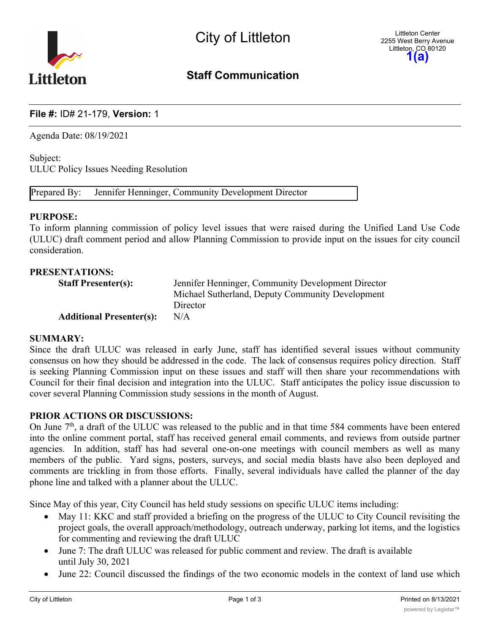

# **Staff Communication**

# **File #:** ID# 21-179, **Version:** 1

Agenda Date: 08/19/2021

Subject: ULUC Policy Issues Needing Resolution

Prepared By: Jennifer Henninger, Community Development Director

#### **PURPOSE:**

To inform planning commission of policy level issues that were raised during the Unified Land Use Code (ULUC) draft comment period and allow Planning Commission to provide input on the issues for city council consideration.

### **PRESENTATIONS:**

| <b>Staff Presenter(s):</b>      | Jennifer Henninger, Community Development Director |
|---------------------------------|----------------------------------------------------|
|                                 | Michael Sutherland, Deputy Community Development   |
|                                 | Director                                           |
| <b>Additional Presenter(s):</b> | N/A                                                |

#### **SUMMARY:**

Since the draft ULUC was released in early June, staff has identified several issues without community consensus on how they should be addressed in the code. The lack of consensus requires policy direction. Staff is seeking Planning Commission input on these issues and staff will then share your recommendations with Council for their final decision and integration into the ULUC. Staff anticipates the policy issue discussion to cover several Planning Commission study sessions in the month of August.

## **PRIOR ACTIONS OR DISCUSSIONS:**

On June  $7<sup>th</sup>$ , a draft of the ULUC was released to the public and in that time 584 comments have been entered into the online comment portal, staff has received general email comments, and reviews from outside partner agencies. In addition, staff has had several one-on-one meetings with council members as well as many members of the public. Yard signs, posters, surveys, and social media blasts have also been deployed and comments are trickling in from those efforts. Finally, several individuals have called the planner of the day phone line and talked with a planner about the ULUC.

Since May of this year, City Council has held study sessions on specific ULUC items including:

- May 11: KKC and staff provided a briefing on the progress of the ULUC to City Council revisiting the project goals, the overall approach/methodology, outreach underway, parking lot items, and the logistics for commenting and reviewing the draft ULUC
- · June 7: The draft ULUC was released for public comment and review. The draft is available until July 30, 2021
- · June 22: Council discussed the findings of the two economic models in the context of land use which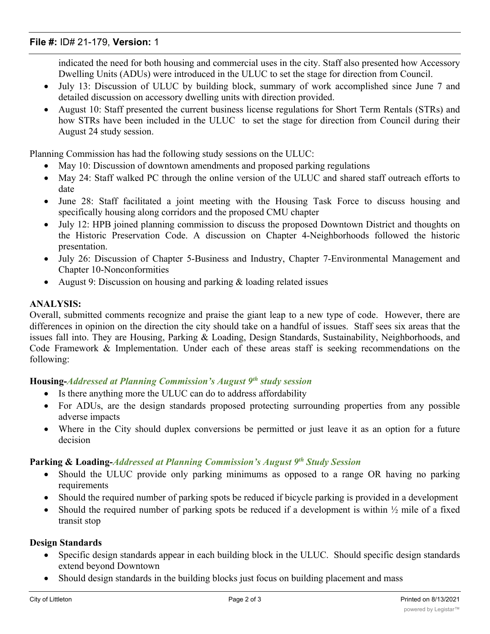# **File #:** ID# 21-179, **Version:** 1

indicated the need for both housing and commercial uses in the city. Staff also presented how Accessory Dwelling Units (ADUs) were introduced in the ULUC to set the stage for direction from Council.

- July 13: Discussion of ULUC by building block, summary of work accomplished since June 7 and detailed discussion on accessory dwelling units with direction provided.
- · August 10: Staff presented the current business license regulations for Short Term Rentals (STRs) and how STRs have been included in the ULUC to set the stage for direction from Council during their August 24 study session.

Planning Commission has had the following study sessions on the ULUC:

- May 10: Discussion of downtown amendments and proposed parking regulations
- · May 24: Staff walked PC through the online version of the ULUC and shared staff outreach efforts to date
- · June 28: Staff facilitated a joint meeting with the Housing Task Force to discuss housing and specifically housing along corridors and the proposed CMU chapter
- July 12: HPB joined planning commission to discuss the proposed Downtown District and thoughts on the Historic Preservation Code. A discussion on Chapter 4-Neighborhoods followed the historic presentation.
- · July 26: Discussion of Chapter 5-Business and Industry, Chapter 7-Environmental Management and Chapter 10-Nonconformities
- August 9: Discussion on housing and parking & loading related issues

# **ANALYSIS:**

Overall, submitted comments recognize and praise the giant leap to a new type of code. However, there are differences in opinion on the direction the city should take on a handful of issues. Staff sees six areas that the issues fall into. They are Housing, Parking & Loading, Design Standards, Sustainability, Neighborhoods, and Code Framework & Implementation. Under each of these areas staff is seeking recommendations on the following:

# **Housing-***Addressed at Planning Commission's August 9th study session*

- Is there anything more the ULUC can do to address affordability
- For ADUs, are the design standards proposed protecting surrounding properties from any possible adverse impacts
- Where in the City should duplex conversions be permitted or just leave it as an option for a future decision

# **Parking & Loading-***Addressed at Planning Commission's August 9th Study Session*

- · Should the ULUC provide only parking minimums as opposed to a range OR having no parking requirements
- Should the required number of parking spots be reduced if bicycle parking is provided in a development
- Should the required number of parking spots be reduced if a development is within  $\frac{1}{2}$  mile of a fixed transit stop

## **Design Standards**

- Specific design standards appear in each building block in the ULUC. Should specific design standards extend beyond Downtown
- Should design standards in the building blocks just focus on building placement and mass